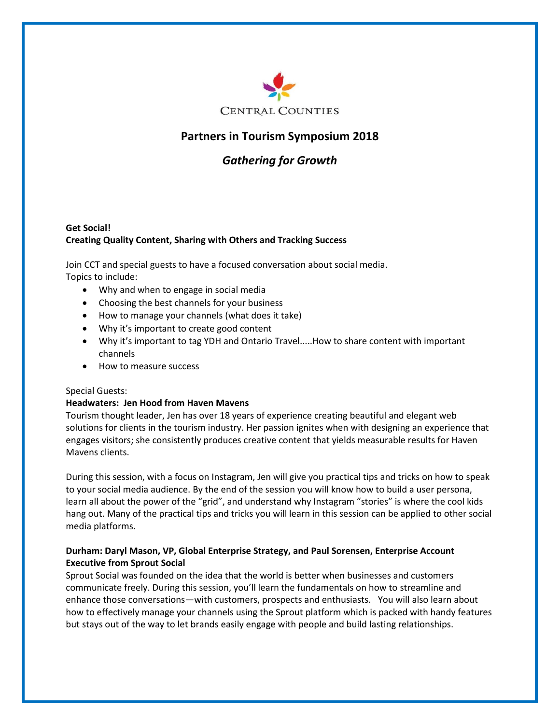

## **Partners in Tourism Symposium 2018**

# *Gathering for Growth*

### **Get Social! Creating Quality Content, Sharing with Others and Tracking Success**

Join CCT and special guests to have a focused conversation about social media. Topics to include:

- Why and when to engage in social media
- Choosing the best channels for your business
- How to manage your channels (what does it take)
- Why it's important to create good content
- Why it's important to tag YDH and Ontario Travel.....How to share content with important channels
- How to measure success

#### Special Guests:

#### **Headwaters: Jen Hood from Haven Mavens**

Tourism thought leader, Jen has over 18 years of experience creating beautiful and elegant web solutions for clients in the tourism industry. Her passion ignites when with designing an experience that engages visitors; she consistently produces creative content that yields measurable results for Haven Mavens clients.

During this session, with a focus on Instagram, Jen will give you practical tips and tricks on how to speak to your social media audience. By the end of the session you will know how to build a user persona, learn all about the power of the "grid", and understand why Instagram "stories" is where the cool kids hang out. Many of the practical tips and tricks you will learn in this session can be applied to other social media platforms.

#### **Durham: Daryl Mason, VP, Global Enterprise Strategy, and Paul Sorensen, Enterprise Account Executive from Sprout Social**

Sprout Social was founded on the idea that the world is better when businesses and customers communicate freely. During this session, you'll learn the fundamentals on how to streamline and enhance those conversations—with customers, prospects and enthusiasts. You will also learn about how to effectively manage your channels using the Sprout platform which is packed with handy features but stays out of the way to let brands easily engage with people and build lasting relationships.